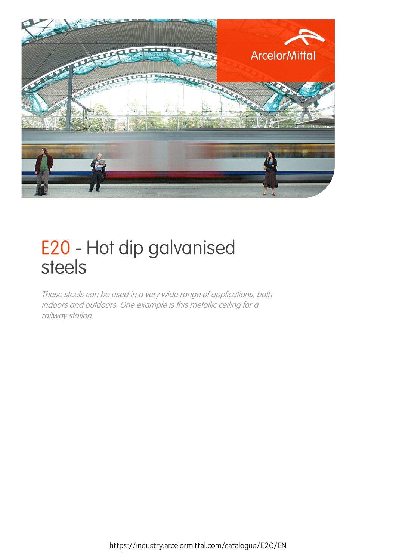

## E20 - Hot dip galvanised steels

These steels can be used in a very wide range of applications, both indoors and outdoors. One example is this metallic ceiling for <sup>a</sup> railway station.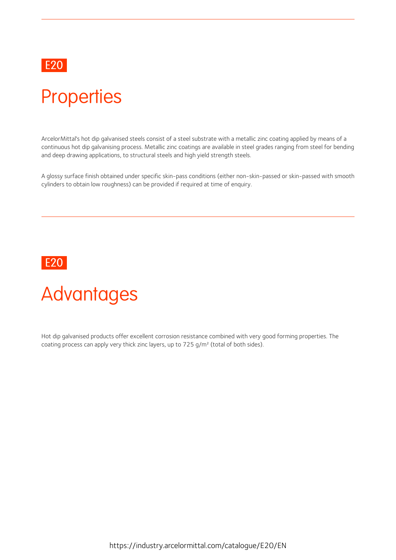### E20 and the contract of the contract of the contract of the contract of the contract of the contract of the contract of the contract of the contract of the contract of the contract of the contract of the contract of the co

## **Properties**

ArcelorMittal's hot dip galvanised steels consist of a steel substrate with a metallic zinc coating applied by means of a continuous hot dip galvanising process. Metallic zinc coatings are available in steel grades ranging from steel for bending and deep drawing applications, to structural steels and high yield strength steels.

A glossy surface finish obtained under specific skin-pass conditions (either non-skin-passed or skin-passed with smooth cylinders to obtain low roughness) can be provided if required at time of enquiry.

### E20

# Advantages

Hot dip galvanised products offer excellent corrosion resistance combined with very good forming properties. The coating process can apply very thick zinc layers, up to  $725$  g/m<sup>2</sup> (total of both sides).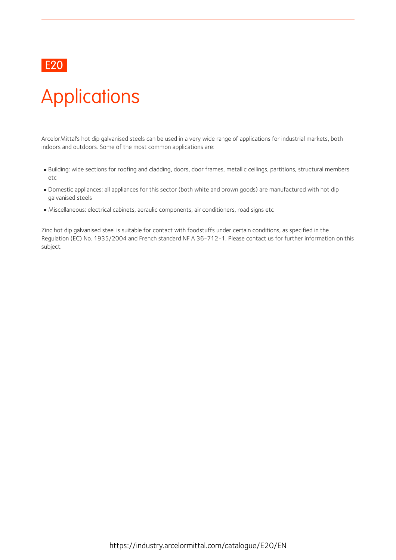### E20

# **Applications**

ArcelorMittal's hot dip galvanised steels can be used in a very wide range of applications for industrial markets, both indoors and outdoors. Some of the most common applications are:

- Building: wide sections for roofing and cladding, doors, door frames, metallic ceilings, partitions, structural members etc and the contract of the contract of the contract of the contract of the contract of the contract of the contract of the contract of the contract of the contract of the contract of the contract of the contract of the co
- Domestic appliances: all appliances for this sector (both white and brown goods) are manufactured with hotdip galvanised steels
- $\blacksquare$  Miscellaneous: electrical cabinets, aeraulic components, air conditioners, road signs etc

Zinc hot dip galvanised steel is suitable for contact with foodstuffs under certain conditions, as specified in the Regulation (EC) No. 1935/2004 and French standard NF A 36-712-1. Please contact us for further information on this subject.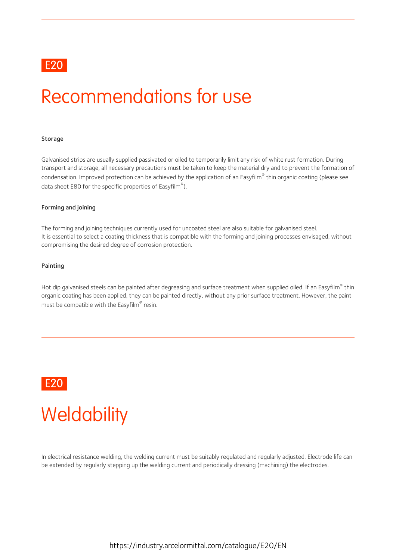### E20 and the contract of the contract of the contract of the contract of the contract of the contract of the contract of the contract of the contract of the contract of the contract of the contract of the contract of the co

## Recommendations for use

#### **Storage**

Galvanised strips are usually supplied passivated or oiled to temporarily limit any risk of white rust formation. During transport and storage, all necessary precautions must be taken to keep the material dry and to prevent the formation of condensation. Improved protection can be achieved by the application of an Easyfilm® thin organic coating (please see data sheet E80 for the specific properties of Easyfilm<sup>®</sup>). ).

### Forming and joining

The forming and joining techniques currently used for uncoated steel are also suitable for galvanised steel. It is essential to select a coating thickness that is compatible with the forming and joining processes envisaged, without compromising the desired degree of corrosion protection.

#### Painting

Hot dip galvanised steels can be painted after degreasing and surface treatment when supplied oiled. If an Easyfilm® thin organic coating has been applied, they can be painted directly, without any prior surface treatment. However, the paint must be compatible with the Easyfilm $^\circ$  resin.



## **Weldability**

In electrical resistance welding, the welding current must be suitably regulated and regularly adjusted. Electrode life can be extended by regularly stepping up the welding current and periodically dressing (machining) the electrodes.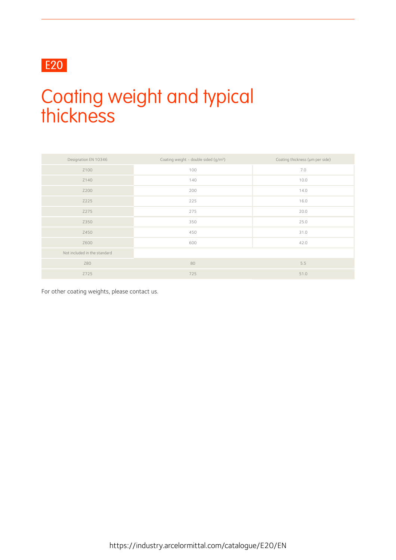### E20

## Coating weight and typical thickness

| Designation EN 10346         | Coating weight - double sided (g/m <sup>2</sup> ) | Coating thickness (um per side) |
|------------------------------|---------------------------------------------------|---------------------------------|
| Z100                         | 100                                               | 7.0                             |
| Z140                         | 140                                               | 10.0                            |
| Z200                         | 200                                               | 14.0                            |
| Z225                         | 225                                               | 16.0                            |
| Z275                         | 275                                               | 20.0                            |
| Z350                         | 350                                               | 25.0                            |
| Z450                         | 450                                               | 31.0                            |
| Z600                         | 600                                               | 42.0                            |
| Not included in the standard |                                                   |                                 |
| Z80                          | 80                                                | 5.5                             |
| Z725                         | 725                                               | 51.0                            |

For other coating weights, please contact us.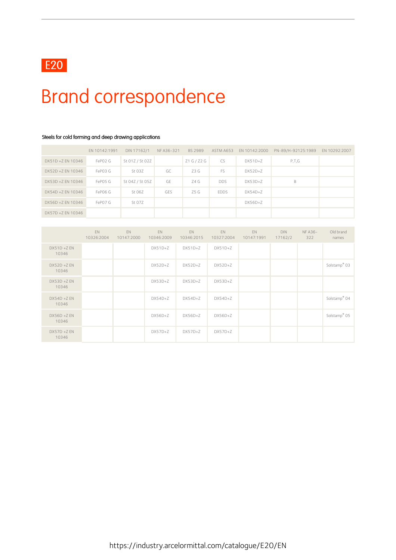

# Brand correspondence

|                   | EN 10142:1991       | DIN 17162/1     | NF A36-321 | BS 2989 | ASTM A653   | EN 10142:2000 | PN-89/H-92125:1989 | EN 10292:2007 |
|-------------------|---------------------|-----------------|------------|---------|-------------|---------------|--------------------|---------------|
| DX51D +Z EN 10346 | FePO <sub>2</sub> G | St 01Z / St 02Z |            | Z1G/Z2G | <b>CS</b>   | $DX51D+Z$     | P.T.G              |               |
| DX52D +Z EN 10346 | FePO3 G             | St 03Z          | GC         | Z3 G    | FS          | $DX52D+Z$     |                    |               |
| DX53D +Z EN 10346 | FePO5 G             | St 04Z / St 05Z | GE         | Z4G     | <b>DDS</b>  | $DX53D+Z$     | B                  |               |
| DX54D +Z EN 10346 | FePO6 G             | St 06Z          | <b>GES</b> | Z5 G    | <b>EDDS</b> | $DX54D+Z$     |                    |               |
| DX56D +Z EN 10346 | FePO7 G             | St 07Z          |            |         |             | $DX56D+Z$     |                    |               |
| DX57D +Z EN 10346 |                     |                 |            |         |             |               |                    |               |

### Steels for cold forming and deep drawing applications

|                         | <b>EN</b><br>10326:2004 | EN<br>10147:2000 | EN<br>10346:2009 | EN<br>10346:2015 | EN<br>10327:2004 | EN<br>10147:1991 | <b>DIN</b><br>17162/2 | <b>NF A36-</b><br>322 | Old brand<br>names       |
|-------------------------|-------------------------|------------------|------------------|------------------|------------------|------------------|-----------------------|-----------------------|--------------------------|
| $DX51D + ZEN$<br>10346  |                         |                  | $DX51D+Z$        | $DX51D+Z$        | $DX51D+Z$        |                  |                       |                       |                          |
| $DX52D + ZEN$<br>10346  |                         |                  | $DX52D+Z$        | $DX52D+Z$        | $DX52D+Z$        |                  |                       |                       | Solstamp <sup>®</sup> 03 |
| $DX53D + Z EN$<br>10346 |                         |                  | $DX53D+Z$        | DX53D+Z          | $DX53D+Z$        |                  |                       |                       |                          |
| $DX54D + Z EN$<br>10346 |                         |                  | $DX54D+Z$        | $DX54D+Z$        | $DX54D+Z$        |                  |                       |                       | Solstamp <sup>®</sup> 04 |
| $DX56D + ZEN$<br>10346  |                         |                  | $DX56D+Z$        | $DX56D+Z$        | $DX56D+Z$        |                  |                       |                       | Solstamp® 05             |
| $DX57D + ZEN$<br>10346  |                         |                  | $DX57D+Z$        | $DX57D+Z$        | $DX57D+Z$        |                  |                       |                       |                          |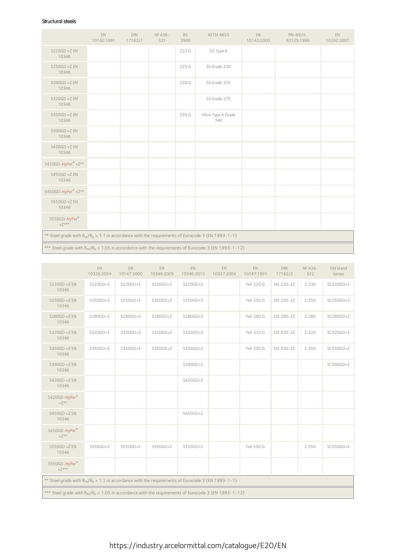### Structural steels

|                                                                                                                          | EN<br>10142:1991 | <b>DIN</b><br>17162/1 | <b>NFA36-</b><br>321 | <b>BS</b><br>2989 | ASTM A653                                                                                              | EN.<br>10142:2000 | PN-89/H-<br>92125:1989 | EN<br>10292:2007 |  |  |
|--------------------------------------------------------------------------------------------------------------------------|------------------|-----------------------|----------------------|-------------------|--------------------------------------------------------------------------------------------------------|-------------------|------------------------|------------------|--|--|
| S220GD +Z EN<br>10346                                                                                                    |                  |                       |                      | Z22 G             | CS Type B                                                                                              |                   |                        |                  |  |  |
| $S250GD + Z EN$<br>10346                                                                                                 |                  |                       |                      | Z25 G             | SS Grade 230                                                                                           |                   |                        |                  |  |  |
| S280GD +Z EN<br>10346                                                                                                    |                  |                       |                      | Z28 G             | SS Grade 255                                                                                           |                   |                        |                  |  |  |
| S320GD +Z EN<br>10346                                                                                                    |                  |                       |                      |                   | SS Grade 275                                                                                           |                   |                        |                  |  |  |
| S350GD +Z EN<br>10346                                                                                                    |                  |                       |                      | Z35 G             | HSLA Type A Grade<br>340                                                                               |                   |                        |                  |  |  |
| S390GD +Z EN<br>10346                                                                                                    |                  |                       |                      |                   |                                                                                                        |                   |                        |                  |  |  |
| S420GD +Z EN<br>10346                                                                                                    |                  |                       |                      |                   |                                                                                                        |                   |                        |                  |  |  |
| S420GD-HyPer® +Z**                                                                                                       |                  |                       |                      |                   |                                                                                                        |                   |                        |                  |  |  |
| S450GD +Z EN<br>10346                                                                                                    |                  |                       |                      |                   |                                                                                                        |                   |                        |                  |  |  |
| S450GD-HyPer®+Z**                                                                                                        |                  |                       |                      |                   |                                                                                                        |                   |                        |                  |  |  |
| S550GD +Z EN<br>10346                                                                                                    |                  |                       |                      |                   |                                                                                                        |                   |                        |                  |  |  |
| S550GD-HyPer®<br>$+Z***$                                                                                                 |                  |                       |                      |                   |                                                                                                        |                   |                        |                  |  |  |
| ** Steel grade with R <sub>m</sub> /R <sub>e</sub> > 1.1 in accordance with the requirements of Eurocode 3 (EN 1993-1-1) |                  |                       |                      |                   |                                                                                                        |                   |                        |                  |  |  |
|                                                                                                                          |                  |                       |                      |                   | *** Steel grade with $R_m/R_e > 1.05$ in accordance with the requirements of Eurocode 3 (EN 1993-1-12) |                   |                        |                  |  |  |

|                                                                                                        | EN<br>10326:2004 | EN.<br>10147:2000 | EN<br>10346:2009 | EN.<br>10346:2015 | EN<br>10327:2004 | EN<br>10147:1991 | <b>DIN</b><br>17162/2 | <b>NFA36-</b><br>322 | Old brand<br>names |  |
|--------------------------------------------------------------------------------------------------------|------------------|-------------------|------------------|-------------------|------------------|------------------|-----------------------|----------------------|--------------------|--|
| $S220GD + Z EN$<br>10346                                                                               | $S220GD+Z$       | $S220GD+Z$        | $S220GD+Z$       | $S220GD+Z$        |                  | FeE 220 G        | StE 220-2Z            | C.230                | $SC220GD+Z$        |  |
| $S250GD + Z EN$<br>10346                                                                               | $S250GD+Z$       | $S250GD+Z$        | $S250GD+Z$       | $S250GD+Z$        |                  | FeE 250 G        | StE 250-2Z            | C.250                | $SC250GD+Z$        |  |
| $S280GD + Z EN$<br>10346                                                                               | $S280GD+Z$       | $S280GD+Z$        | $S280GD+Z$       | $S280GD+Z$        |                  | FeE 280 G        | StE 280-2Z            | C.280                | SC280GD+Z          |  |
| S320GD +Z EN<br>10346                                                                                  | S320GD+Z         | $S320GD+Z$        | $S320GD+Z$       | S320GD+Z          |                  | FeE 320 G        | StE 320-2Z            | C.320                | SC320GD+Z          |  |
| S350GD +Z EN<br>10346                                                                                  | S350GD+Z         | $S350GD+Z$        | S350GD+Z         | S350GD+Z          |                  | FeE 350 G        | StE 350-2Z            | C.350                | SC350GD+Z          |  |
| S390GD +Z EN<br>10346                                                                                  |                  |                   |                  | $S390GD+Z$        |                  |                  |                       |                      | SC390GD+Z          |  |
| S420GD +Z EN<br>10346                                                                                  |                  |                   |                  | S420GD+Z          |                  |                  |                       |                      |                    |  |
| S420GD-HyPer®<br>$+Z^{\star\star}$                                                                     |                  |                   |                  |                   |                  |                  |                       |                      |                    |  |
| S450GD +Z EN<br>10346                                                                                  |                  |                   |                  | $S450GD+Z$        |                  |                  |                       |                      |                    |  |
| S450GD-HyPer®<br>$+Z^{\star\star}$                                                                     |                  |                   |                  |                   |                  |                  |                       |                      |                    |  |
| $S550GD + Z EN$<br>10346                                                                               | S550GD+Z         | $S550GD+Z$        | $S550GD+Z$       | $S550GD+Z$        |                  | FeE 550 G        |                       | C.550                | SC550GD+Z          |  |
| S550GD-HyPer®<br>$+Z***$                                                                               |                  |                   |                  |                   |                  |                  |                       |                      |                    |  |
| ** Steel grade with $R_m/R_e > 1.1$ in accordance with the requirements of Eurocode 3 (EN 1993-1-1)    |                  |                   |                  |                   |                  |                  |                       |                      |                    |  |
| *** Steel grade with $R_m/R_e > 1.05$ in accordance with the requirements of Eurocode 3 (EN 1993-1-12) |                  |                   |                  |                   |                  |                  |                       |                      |                    |  |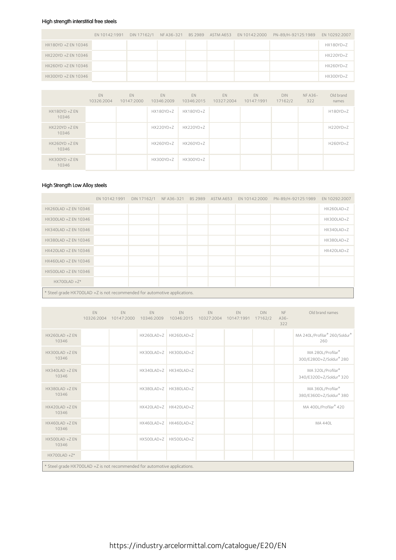### High strength interstitial free steels

|                     | EN 10142:1991 |  |  | DIN 17162/1 NF A36-321 BS 2989 ASTM A653 EN 10142:2000 PN-89/H-92125:1989 EN 10292:2007 |           |
|---------------------|---------------|--|--|-----------------------------------------------------------------------------------------|-----------|
| HX180YD +Z EN 10346 |               |  |  |                                                                                         | HX180YD+Z |
| HX220YD +Z EN 10346 |               |  |  |                                                                                         | HX220YD+Z |
| HX260YD +Z EN 10346 |               |  |  |                                                                                         | HX260YD+Z |
| HX300YD +Z EN 10346 |               |  |  |                                                                                         | HX300YD+Z |

|                           | EN<br>10326:2004 | EN<br>10147:2000 | EN<br>10346:2009 | EN<br>10346:2015 | EN<br>10327:2004 | EN<br>10147:1991 | <b>DIN</b><br>17162/2 | NF A36-<br>322 | Old brand<br>names |
|---------------------------|------------------|------------------|------------------|------------------|------------------|------------------|-----------------------|----------------|--------------------|
| $HX180YD + Z EN$<br>10346 |                  |                  | HX180YD+Z        | HX180YD+Z        |                  |                  |                       |                | H180YD+Z           |
| $HX220YD + Z EN$<br>10346 |                  |                  | HX220YD+Z        | HX220YD+Z        |                  |                  |                       |                | H220YD+Z           |
| $HX260YD + Z EN$<br>10346 |                  |                  | HX260YD+Z        | HX260YD+Z        |                  |                  |                       |                | H260YD+Z           |
| $HX300YD + Z EN$<br>10346 |                  |                  | HX300YD+Z        | HX300YD+Z        |                  |                  |                       |                |                    |

### High Strength Low Alloy steels

|                                                                           | EN 10142:1991 |  |  | DIN 17162/1 NF A36-321 BS 2989 ASTM A653 EN 10142:2000 | PN-89/H-92125:1989 EN 10292:2007 |            |
|---------------------------------------------------------------------------|---------------|--|--|--------------------------------------------------------|----------------------------------|------------|
| HX260LAD +Z EN 10346                                                      |               |  |  |                                                        |                                  | HX260LAD+Z |
| HX300LAD +Z EN 10346                                                      |               |  |  |                                                        |                                  | HX300LAD+Z |
| HX340LAD +Z EN 10346                                                      |               |  |  |                                                        |                                  | HX340LAD+Z |
| HX380LAD +Z EN 10346                                                      |               |  |  |                                                        |                                  | HX380LAD+Z |
| HX420LAD +Z EN 10346                                                      |               |  |  |                                                        |                                  | HX420LAD+Z |
| HX460LAD +Z EN 10346                                                      |               |  |  |                                                        |                                  |            |
| HX500LAD +Z EN 10346                                                      |               |  |  |                                                        |                                  |            |
| $HX700LAD + Z*$                                                           |               |  |  |                                                        |                                  |            |
| * Steel grade HX700LAD +Z is not recommended for automotive applications. |               |  |  |                                                        |                                  |            |

|                                                                           | EN | EN<br>10326:2004 10147:2000 | EN<br>10346:2009 | EN<br>10346:2015          | EN<br>10327:2004 | EN<br>10147:1991 17162/2 | <b>DIN</b> | NF<br>$A36-$<br>322 | Old brand names                              |  |  |
|---------------------------------------------------------------------------|----|-----------------------------|------------------|---------------------------|------------------|--------------------------|------------|---------------------|----------------------------------------------|--|--|
| HX260I AD +7 FN<br>10346                                                  |    |                             |                  | $HX260LAD+Z$ $HX260LAD+Z$ |                  |                          |            |                     | MA 240L/Profilar® 260/Soldur®<br>260         |  |  |
| HX300LAD +Z EN<br>10346                                                   |    |                             | HX300LAD+Z       | HX300LAD+Z                |                  |                          |            |                     | MA 280L/Profilar®<br>300/E280D+Z/Soldur® 280 |  |  |
| HX340LAD +Z EN<br>10346                                                   |    |                             | HX340LAD+Z       | HX340LAD+Z                |                  |                          |            |                     | MA 320L/Profilar®<br>340/E320D+Z/Soldur® 320 |  |  |
| HX380LAD +Z EN<br>10346                                                   |    |                             |                  | HX380LAD+Z HX380LAD+Z     |                  |                          |            |                     | MA 360L/Profilar®<br>380/E360D+Z/Soldur® 380 |  |  |
| HX420LAD +Z EN<br>10346                                                   |    |                             |                  | HX420LAD+Z HX420LAD+Z     |                  |                          |            |                     | MA 400L/Profilar® 420                        |  |  |
| HX460LAD +Z EN<br>10346                                                   |    |                             | HX460LAD+Z       | HX460LAD+Z                |                  |                          |            |                     | <b>MA 440L</b>                               |  |  |
| HX500LAD +Z EN<br>10346                                                   |    |                             | HX500LAD+Z       | HX500LAD+Z                |                  |                          |            |                     |                                              |  |  |
| $HX700LAD + Z*$                                                           |    |                             |                  |                           |                  |                          |            |                     |                                              |  |  |
| * Steel grade HX700LAD +Z is not recommended for automotive applications. |    |                             |                  |                           |                  |                          |            |                     |                                              |  |  |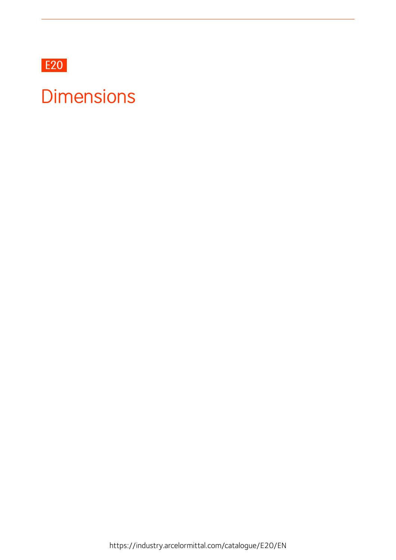

## **Dimensions**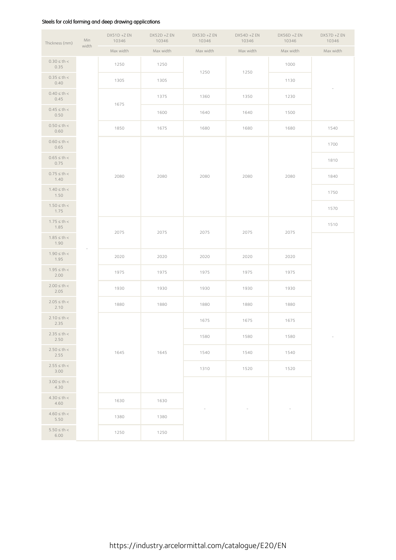### Steels for cold forming and deep drawing applications

| Thickness (mm)           | Min   | $DX51D + Z EN$<br>10346 | $DX52D + Z EN$<br>10346 | $DX53D + Z EN$<br>10346 | $DX54D + Z EN$<br>10346 | $DX56D + Z EN$<br>10346 | $DX57D + Z EN$<br>10346  |  |
|--------------------------|-------|-------------------------|-------------------------|-------------------------|-------------------------|-------------------------|--------------------------|--|
|                          | width | Max width               | Max width               | Max width               | Max width               | Max width               | Max width                |  |
| $0.30 \le th <$<br>0.35  |       | 1250                    | 1250                    | 1250                    | 1250                    | 1000                    |                          |  |
| $0.35 \le th <$<br>0.40  |       | 1305                    | 1305                    |                         |                         | 1130                    |                          |  |
| $0.40 \le th <$<br>0.45  |       | 1675                    | 1375                    | 1360                    | 1350                    | 1230                    |                          |  |
| $0.45 \le th <$<br>0.50  |       |                         | 1600                    | 1640                    | 1640                    | 1500                    |                          |  |
| $0.50 \leq th <$<br>0.60 |       | 1850                    | 1675                    | 1680                    | 1680                    | 1680                    | 1540                     |  |
| $0.60 \le th <$<br>0.65  |       |                         |                         |                         |                         |                         | 1700                     |  |
| $0.65 \leq th <$<br>0.75 |       |                         |                         |                         |                         |                         | 1810                     |  |
| $0.75 \le th <$<br>1.40  |       | 2080                    | 2080                    | 2080                    | 2080                    | 2080                    | 1840                     |  |
| $1.40 \le th <$<br>1.50  |       |                         |                         |                         |                         |                         | 1750                     |  |
| $1.50 \le th <$<br>1.75  |       |                         |                         |                         |                         |                         | 1570                     |  |
| $1.75 \le th <$<br>1.85  |       |                         |                         |                         |                         |                         | 1510                     |  |
| $1.85 \le th <$<br>1.90  |       | 2075                    | 2075                    | 2075                    | 2075                    | 2075                    |                          |  |
| $1.90 \leq th <$<br>1.95 |       | 2020                    | 2020                    | 2020                    | 2020                    | 2020                    |                          |  |
| $1.95 \le th <$<br>2.00  |       | 1975                    | 1975                    | 1975                    | 1975                    | 1975                    |                          |  |
| $2.00 \le th <$<br>2.05  |       | 1930                    | 1930                    | 1930                    | 1930                    | 1930                    |                          |  |
| $2.05 \le th <$<br>2.10  |       | 1880                    | 1880                    | 1880                    | 1880                    | 1880                    |                          |  |
| $2.10 \le th <$<br>2.35  |       |                         |                         | 1675                    | 1675                    | 1675                    |                          |  |
| $2.35 \le th <$<br>2.50  |       |                         |                         | 1580                    | 1580                    | 1580                    | $\overline{\phantom{a}}$ |  |
| $2.50 \le th <$<br>2.55  |       | 1645                    | 1645                    | 1540                    | 1540                    | 1540                    |                          |  |
| $2.55 \le th <$<br>3.00  |       |                         |                         | 1310                    | 1520                    | 1520                    |                          |  |
| $3.00 \le th <$<br>4.30  |       |                         |                         |                         |                         |                         |                          |  |
| $4.30 \le th <$<br>4.60  |       | 1630<br>1380<br>1250    | 1630                    |                         |                         |                         |                          |  |
| $4.60 \le th <$<br>5.50  |       |                         | 1380                    |                         |                         |                         |                          |  |
| $5.50 \le th <$<br>6.00  |       |                         | 1250                    |                         |                         |                         |                          |  |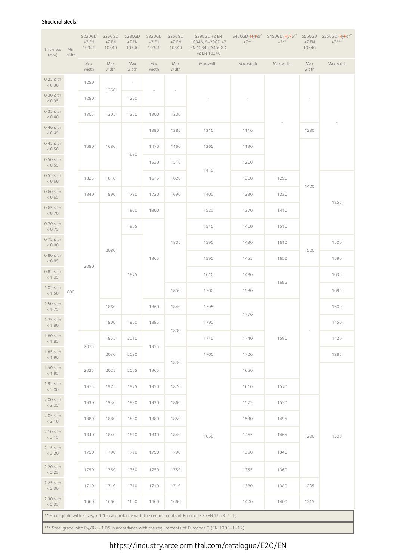#### Structural steels

| Thickness<br>(mm)        | Min<br>width | S220GD<br>$+ZEN$<br>10346 | <b>S250GD</b><br>$+ZEN$<br>10346 | <b>S280GD</b><br>$+ZEN$<br>10346 | S320GD<br>$+ZEN$<br>10346 | S350GD<br>$+ZEN$<br>10346 | S390GD +Z EN<br>10346, S420GD +Z<br>EN 10346, S450GD<br>+Z EN 10346                                                      | $+Z^{\star\star}$ | S420GD-HyPer <sup>®</sup> S450GD-HyPer <sup>®</sup><br>$+Z^{\star\star}$ | $+ZEN$<br>10346          | S550GD S550GD-HyPer®<br>$+Z^{\star\star\star}$ |
|--------------------------|--------------|---------------------------|----------------------------------|----------------------------------|---------------------------|---------------------------|--------------------------------------------------------------------------------------------------------------------------|-------------------|--------------------------------------------------------------------------|--------------------------|------------------------------------------------|
|                          |              | Max<br>width              | Max<br>width                     | Max<br>width                     | Max<br>width              | Max<br>width              | Max width                                                                                                                | Max width         | Max width                                                                | Max<br>width             | Max width                                      |
| $0.25 \leq th$<br>< 0.30 |              | 1250                      | 1250                             | $\overline{\phantom{a}}$         |                           | ÷                         |                                                                                                                          |                   |                                                                          |                          |                                                |
| $0.30 \leq th$<br>< 0.35 |              | 1280                      |                                  | 1250                             |                           |                           |                                                                                                                          |                   |                                                                          | $\overline{\phantom{a}}$ |                                                |
| $0.35 \leq th$<br>< 0.40 |              | 1305                      | 1305                             | 1350                             | 1300                      | 1300                      |                                                                                                                          |                   |                                                                          |                          |                                                |
| $0.40 \leq th$<br>< 0.45 |              |                           |                                  |                                  | 1390                      | 1385                      | 1310                                                                                                                     | 1110              |                                                                          | 1230                     |                                                |
| $0.45 \leq th$<br>< 0.50 |              | 1680                      | 1680                             | 1680                             | 1470                      | 1460                      | 1365                                                                                                                     | 1190              |                                                                          |                          |                                                |
| $0.50 \leq th$<br>< 0.55 |              |                           |                                  |                                  | 1520                      | 1510                      | 1410                                                                                                                     | 1260              |                                                                          |                          |                                                |
| $0.55 \leq th$<br>< 0.60 |              | 1825                      | 1810                             |                                  | 1675                      | 1620                      |                                                                                                                          | 1300              | 1290                                                                     | 1400                     |                                                |
| $0.60 \leq th$<br>< 0.65 |              | 1840                      | 1990                             | 1730                             | 1720                      | 1690                      | 1400                                                                                                                     | 1330              | 1330                                                                     |                          | 1255                                           |
| $0.65 \leq th$<br>< 0.70 |              |                           |                                  | 1850                             | 1800                      |                           | 1520                                                                                                                     | 1370              | 1410                                                                     |                          |                                                |
| $0.70 \leq th$<br>< 0.75 |              |                           |                                  | 1865                             |                           |                           | 1545                                                                                                                     | 1400              | 1510                                                                     |                          |                                                |
| $0.75 \leq th$<br>< 0.80 |              |                           | 2080                             |                                  |                           | 1805                      | 1590                                                                                                                     | 1430              | 1610                                                                     | 1500                     | 1500                                           |
| $0.80 \leq th$<br>< 0.85 |              | 2080                      |                                  |                                  | 1865                      |                           | 1595                                                                                                                     | 1455              | 1650                                                                     |                          | 1590                                           |
| $0.85 \leq th$<br>< 1.05 |              |                           |                                  | 1875                             |                           |                           | 1610                                                                                                                     | 1480              | 1695                                                                     |                          | 1635                                           |
| $1.05 \leq th$<br>< 1.50 | 800          |                           |                                  |                                  |                           | 1850                      | 1700                                                                                                                     | 1580              |                                                                          |                          | 1695                                           |
| $1.50 \leq th$<br>< 1.75 |              |                           | 1860                             |                                  | 1860                      | 1840                      | 1795                                                                                                                     | 1770              |                                                                          |                          | 1500                                           |
| $1.75 \leq th$<br>< 1.80 |              |                           | 1900                             | 1950                             | 1895                      | 1800                      | 1790                                                                                                                     |                   |                                                                          |                          | 1450                                           |
| $1.80 \leq th$<br>< 1.85 |              | 2075                      | 1955                             | 2010                             | 1955                      |                           | 1740                                                                                                                     | 1740              | 1580                                                                     |                          | 1420                                           |
| $1.85 \leq th$<br>< 1.90 |              |                           | 2030                             | 2030                             |                           | 1830                      | 1700                                                                                                                     | 1700              |                                                                          |                          | 1385                                           |
| $1.90 \leq th$<br>< 1.95 |              | 2025                      | 2025                             | 2025                             | 1965                      |                           |                                                                                                                          | 1650              |                                                                          |                          |                                                |
| $1.95 \leq th$<br>< 2.00 |              | 1975                      | 1975                             | 1975                             | 1950                      | 1870                      |                                                                                                                          | 1610              | 1570                                                                     |                          |                                                |
| $2.00 \leq th$<br>< 2.05 |              | 1930                      | 1930                             | 1930                             | 1930                      | 1860                      |                                                                                                                          | 1575              | 1530                                                                     |                          |                                                |
| $2.05 \leq th$<br>< 2.10 |              | 1880                      | 1880                             | 1880                             | 1880                      | 1850                      |                                                                                                                          | 1530              | 1495                                                                     |                          |                                                |
| $2.10 \leq th$<br>< 2.15 |              | 1840                      | 1840                             | 1840                             | 1840                      | 1840                      | 1650                                                                                                                     | 1465              | 1465                                                                     | 1200                     | 1300                                           |
| $2.15 \le th$<br>< 2.20  |              | 1790                      | 1790                             | 1790                             | 1790                      | 1790                      |                                                                                                                          | 1350              | 1340                                                                     |                          |                                                |
| $2.20 \le th$<br>< 2.25  |              | 1750                      | 1750                             | 1750                             | 1750                      | 1750                      |                                                                                                                          | 1355              | 1360                                                                     |                          |                                                |
| $2.25 \le th$<br>< 2.30  |              | 1710                      | 1710                             | 1710                             | 1710                      | 1710                      |                                                                                                                          | 1380              | 1380                                                                     | 1205                     |                                                |
| $2.30 \leq th$<br>< 2.35 |              | 1660                      | 1660                             | 1660                             | 1660                      | 1660                      |                                                                                                                          | 1400              | 1400                                                                     | 1215                     |                                                |
|                          |              |                           |                                  |                                  |                           |                           | ** Steel grade with R <sub>m</sub> /R <sub>e</sub> > 1.1 in accordance with the requirements of Eurocode 3 (EN 1993-1-1) |                   |                                                                          |                          |                                                |
|                          |              |                           |                                  |                                  |                           |                           | *** Steel grade with $R_m/R_e > 1.05$ in accordance with the requirements of Eurocode 3 (EN 1993-1-12)                   |                   |                                                                          |                          |                                                |

### https://industry.arcelormittal.com/catalogue/E20/EN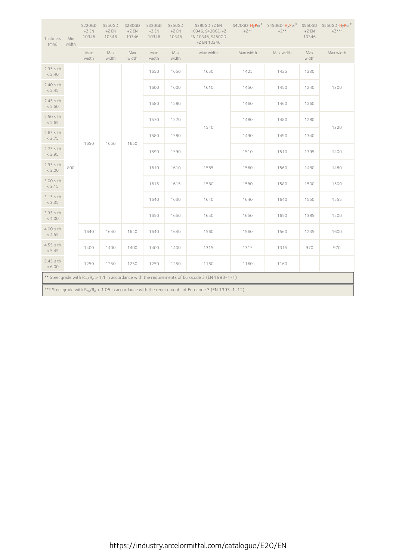| Thickness<br>(mm)                                                                                      | Min<br>width | <b>S220GD</b><br>$+ZEN$<br>10346 | <b>S250GD</b><br>$+ZEN$<br>10346 | <b>S280GD</b><br>$+ZEN$<br>10346 | S320GD<br>$+ZEN$<br>10346 | S350GD<br>$+ZEN$<br>10346 | $S390GD + Z EN$<br>10346, S420GD +Z<br>EN 10346, S450GD<br>+Z EN 10346                              | $+Z^{\star\,\star}$ | S420GD-HyPer® S450GD-HyPer®<br>$+Z^{\star\star}$ | $+ZEN$<br>10346          | S550GD S550GD-HyPer®<br>$+Z***$ |
|--------------------------------------------------------------------------------------------------------|--------------|----------------------------------|----------------------------------|----------------------------------|---------------------------|---------------------------|-----------------------------------------------------------------------------------------------------|---------------------|--------------------------------------------------|--------------------------|---------------------------------|
|                                                                                                        |              | Max<br>width                     | Max<br>width                     | Max<br>width                     | Max<br>width              | Max<br>width              | Max width                                                                                           | Max width           | Max width                                        | Max<br>width             | Max width                       |
| $2.35 \leq th$<br>< 2.40                                                                               |              |                                  |                                  |                                  | 1650                      | 1650                      | 1650                                                                                                | 1425                | 1425                                             | 1230                     |                                 |
| $2.40 \leq th$<br>< 2.45                                                                               |              |                                  |                                  |                                  | 1600                      | 1600                      | 1610                                                                                                | 1450                | 1450                                             | 1240                     | 1300                            |
| $2.45 \leq th$<br>< 2.50                                                                               |              |                                  |                                  |                                  | 1580                      | 1580                      |                                                                                                     | 1460                | 1460                                             | 1260                     |                                 |
| $2.50 \leq th$<br>< 2.65                                                                               |              |                                  |                                  |                                  | 1570                      | 1570                      | 1540                                                                                                | 1480                | 1480                                             | 1280                     |                                 |
| $2.65 \leq th$<br>< 2.75                                                                               |              | 1650                             | 1650                             | 1650                             | 1580                      | 1580                      |                                                                                                     | 1490                | 1490                                             | 1340                     | 1320                            |
| $2.75 \leq th$<br>< 2.95                                                                               |              |                                  |                                  |                                  | 1590                      | 1590                      |                                                                                                     | 1510                | 1510                                             | 1395                     | 1400                            |
| $2.95 \le th$<br>< 3.00                                                                                | 800          |                                  |                                  |                                  | 1610                      | 1610                      | 1565                                                                                                | 1560                | 1560                                             | 1480                     | 1480                            |
| $3.00 \leq th$<br>< 3.15                                                                               |              |                                  |                                  |                                  | 1615                      | 1615                      | 1580                                                                                                | 1580                | 1580                                             | 1500                     | 1500                            |
| $3.15 \leq th$<br>< 3.35                                                                               |              |                                  |                                  |                                  | 1640                      | 1630                      | 1640                                                                                                | 1640                | 1640                                             | 1550                     | 1555                            |
| $3.35 \leq th$<br>< 4.00                                                                               |              |                                  |                                  |                                  | 1650                      | 1650                      | 1650                                                                                                | 1650                | 1650                                             | 1385                     | 1500                            |
| $4.00 \leq th$<br>< 4.55                                                                               |              | 1640                             | 1640                             | 1640                             | 1640                      | 1640                      | 1560                                                                                                | 1560                | 1560                                             | 1235                     | 1600                            |
| $4.55 \leq th$<br>< 5.45                                                                               |              | 1400                             | 1400                             | 1400                             | 1400                      | 1400                      | 1315                                                                                                | 1315                | 1315                                             | 970                      | 970                             |
| $5.45 \leq th$<br>< 6.00                                                                               |              | 1250                             | 1250                             | 1250                             | 1250                      | 1250                      | 1160                                                                                                | 1160                | 1160                                             | $\overline{\phantom{a}}$ | $\overline{\phantom{a}}$        |
|                                                                                                        |              |                                  |                                  |                                  |                           |                           | ** Steel grade with $R_m/R_e > 1.1$ in accordance with the requirements of Eurocode 3 (EN 1993-1-1) |                     |                                                  |                          |                                 |
| *** Steel grade with $R_m/R_e > 1.05$ in accordance with the requirements of Eurocode 3 (EN 1993-1-12) |              |                                  |                                  |                                  |                           |                           |                                                                                                     |                     |                                                  |                          |                                 |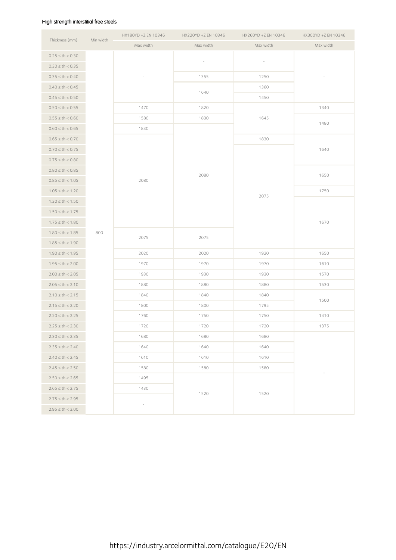### High strength interstitial free steels

| Thickness (mm)       | Min width | HX180YD +Z EN 10346 | HX220YD +Z EN 10346 | HX260YD +Z EN 10346 | HX300YD +Z EN 10346 |  |
|----------------------|-----------|---------------------|---------------------|---------------------|---------------------|--|
|                      |           | Max width           | Max width           | Max width           | Max width           |  |
| $0.25 \le th < 0.30$ |           |                     |                     |                     |                     |  |
| $0.30 \le th < 0.35$ |           |                     |                     |                     |                     |  |
| $0.35 \le th < 0.40$ |           |                     | 1355                | 1250                |                     |  |
| $0.40 \le th < 0.45$ |           |                     |                     | 1360                |                     |  |
| $0.45 \le th < 0.50$ |           |                     | 1640                | 1450                |                     |  |
| $0.50 \le th < 0.55$ |           | 1470                | 1820                |                     | 1340                |  |
| $0.55 \le th < 0.60$ |           | 1580                | 1830                | 1645                |                     |  |
| $0.60 \le th < 0.65$ |           | 1830                |                     |                     | 1480                |  |
| $0.65 \le th < 0.70$ |           |                     |                     | 1830                |                     |  |
| $0.70 \le th < 0.75$ |           |                     |                     |                     | 1640                |  |
| $0.75 \le th < 0.80$ |           |                     |                     |                     |                     |  |
| $0.80 \le th < 0.85$ |           |                     |                     |                     | 1650                |  |
| $0.85 \le th < 1.05$ |           | 2080                | 2080                |                     |                     |  |
| $1.05 \le th < 1.20$ |           |                     |                     |                     | 1750                |  |
| $1.20 \le th < 1.50$ |           |                     |                     | 2075                |                     |  |
| $1.50 \le th < 1.75$ |           |                     |                     |                     |                     |  |
| $1.75 \le th < 1.80$ |           |                     |                     |                     | 1670                |  |
| $1.80 \le th < 1.85$ | 800       |                     |                     |                     |                     |  |
| $1.85 \le th < 1.90$ |           | 2075                | 2075                |                     |                     |  |
| $1.90 \le th < 1.95$ |           | 2020                | 2020                | 1920                | 1650                |  |
| $1.95 \le th < 2.00$ |           | 1970                | 1970                | 1970                | 1610                |  |
| $2.00 \le th < 2.05$ |           | 1930                | 1930                | 1930                | 1570                |  |
| $2.05 \le th < 2.10$ |           | 1880                | 1880                | 1880                | 1530                |  |
| $2.10 \le th < 2.15$ |           | 1840                | 1840                | 1840                |                     |  |
| $2.15 \le th < 2.20$ |           | 1800                | 1800                | 1795                | 1500                |  |
| $2.20 \le th < 2.25$ |           | 1760                | 1750                | 1750                | 1410                |  |
| $2.25 \le th < 2.30$ |           | 1720                | 1720                | 1720                | 1375                |  |
| $2.30 \le th < 2.35$ |           | 1680                | 1680                | 1680                |                     |  |
| $2.35 \le th < 2.40$ |           | 1640                | 1640                | 1640                |                     |  |
| $2.40 \le th < 2.45$ |           | 1610                | 1610                | 1610                |                     |  |
| $2.45 \le th < 2.50$ |           | 1580                | 1580                | 1580                |                     |  |
| $2.50 \le th < 2.65$ |           | 1495                |                     |                     |                     |  |
| $2.65 \le th < 2.75$ |           | 1430                |                     |                     |                     |  |
| $2.75 \le th < 2.95$ |           |                     | 1520                | 1520                |                     |  |
| $2.95 \le th < 3.00$ |           |                     |                     |                     |                     |  |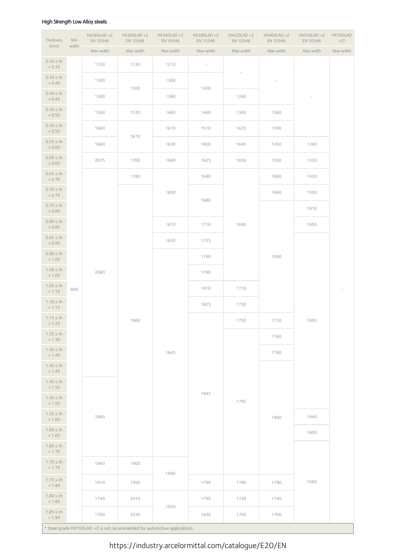### High Strength Low Alloy steels

| Thickness                | Min   | $HX260LAD + Z$<br>EN 10346 | HX300LAD+Z<br>EN 10346                                                    | $HX340LAD + Z$<br>EN 10346 | HX380LAD+Z<br>EN 10346   | HX420LAD +Z<br>EN 10346 | HX460LAD +Z<br>EN 10346 | HX500LAD+Z<br>EN 10346 | HX700LAD<br>$+Z^*$ |
|--------------------------|-------|----------------------------|---------------------------------------------------------------------------|----------------------------|--------------------------|-------------------------|-------------------------|------------------------|--------------------|
| (mm)                     | width | Max width                  | Max width                                                                 | Max width                  | Max width                | Max width               | Max width               | Max width              | Max width          |
| $0.30 \leq th$<br>< 0.35 |       | 1250                       | 1230                                                                      | 1210                       | $\overline{\phantom{a}}$ |                         |                         |                        |                    |
| $0.35 \leq th$<br>< 0.40 |       | 1300                       |                                                                           | 1300                       |                          |                         |                         |                        |                    |
| $0.40 \leq th$<br>< 0.45 |       | 1380                       | 1300                                                                      | 1380                       | 1300                     | 1260                    |                         |                        |                    |
| $0.45 \leq th$<br>< 0.50 |       | 1590                       | 1520                                                                      | 1460                       | 1460                     | 1360                    | 1360                    |                        |                    |
| $0.50 \leq th$<br>< 0.55 |       | 1660                       |                                                                           | 1610                       | 1510                     | 1625                    | 1390                    |                        |                    |
| $0.55 \leq th$<br>< 0.60 |       | 1680                       | 1610                                                                      | 1630                       | 1600                     | 1645                    | 1450                    | 1260                   |                    |
| $0.60 \leq th$<br>< 0.65 |       | 2075                       | 1700                                                                      | 1680                       | 1625                     | 1650                    | 1500                    | 1320                   |                    |
| $0.65 \leq th$<br>< 0.70 |       |                            | 1780                                                                      |                            | 1640                     |                         | 1600                    | 1420                   |                    |
| $0.70 \leq th$<br>< 0.75 |       |                            |                                                                           | 1800                       |                          |                         | 1660                    | 1500                   |                    |
| $0.75 \leq th$<br>< 0.80 |       |                            |                                                                           |                            | 1680                     |                         |                         | 1610                   |                    |
| $0.80 \leq th$<br>< 0.85 |       |                            |                                                                           | 1810                       | 1710                     | 1690                    |                         | 1650                   |                    |
| $0.85 \leq th$<br>< 0.90 |       |                            |                                                                           | 1820                       | 1725                     |                         |                         |                        |                    |
| $0.90 \leq th$<br>< 1.00 |       |                            |                                                                           |                            | 1760                     |                         | 1690                    |                        |                    |
| $1.00 \leq th$<br>< 1.05 |       | 2080                       |                                                                           |                            | 1790                     |                         |                         |                        |                    |
| $1.05 \leq th$<br>< 1.10 | 800   |                            |                                                                           |                            | 1810                     | 1710                    |                         |                        | $\bar{ }$          |
| $1.10 \leq th$<br>< 1.15 |       |                            |                                                                           |                            | 1825                     | 1730                    |                         |                        |                    |
| $1.15 \leq th$<br>< 1.25 |       |                            | 1860                                                                      |                            |                          | 1750                    | 1720                    | 1695                   |                    |
| $1.25 \le th$<br>< 1.30  |       |                            |                                                                           |                            |                          |                         | 1760                    |                        |                    |
| $1.30 \leq th$<br>< 1.40 |       |                            |                                                                           | 1845                       |                          |                         | 1780                    |                        |                    |
| $1.40 \leq th$<br>< 1.45 |       |                            |                                                                           |                            |                          |                         |                         |                        |                    |
| $1.45 \leq th$<br>< 1.50 |       |                            |                                                                           |                            |                          |                         |                         |                        |                    |
| $1.50 \leq th$<br>< 1.55 |       |                            |                                                                           |                            | 1845                     | 1795                    |                         |                        |                    |
| $1.55 \leq th$<br>< 1.60 |       | 1860                       |                                                                           |                            |                          |                         | 1800                    | 1640                   |                    |
| $1.60 \leq th$<br>< 1.65 |       |                            |                                                                           |                            |                          |                         |                         | 1600                   |                    |
| $1.65 \leq th$<br>< 1.70 |       |                            |                                                                           |                            |                          |                         |                         |                        |                    |
| $1.70 \leq th$<br>< 1.75 |       | 1840                       | 1900                                                                      |                            |                          |                         |                         |                        |                    |
| $1.75 \leq th$<br>< 1.80 |       | 1810                       | 1950                                                                      | 1890                       | 1790                     | 1780                    | 1790                    | 1580                   |                    |
| $1.80 \leq th$<br>< 1.85 |       | 1740                       | 2010                                                                      |                            | 1795                     | 1730                    | 1740                    |                        |                    |
| $1.85 \leq th$<br>< 1.90 |       | 1700                       | 2030                                                                      | 1950                       | 1830                     | 1700                    | 1700                    |                        |                    |
|                          |       |                            | * Steel grade HX700LAD +Z is not recommended for automotive applications. |                            |                          |                         |                         |                        |                    |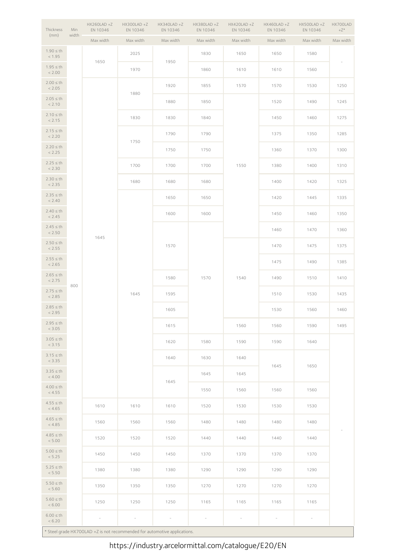| Thickness                | Min   | $HX260LAD + Z$<br>EN 10346 | HX300LAD+Z<br>EN 10346                                                    | HX340LAD +Z<br>EN 10346 | HX380LAD+Z<br>EN 10346                                               | HX420LAD+Z<br>EN 10346 | $HX460LAD + Z$<br>EN 10346 | HX500LAD+Z<br>EN 10346   | HX700LAD<br>$+Z^*$       |
|--------------------------|-------|----------------------------|---------------------------------------------------------------------------|-------------------------|----------------------------------------------------------------------|------------------------|----------------------------|--------------------------|--------------------------|
| (mm)                     | width | Max width                  | Max width                                                                 | Max width               | Max width                                                            | Max width              | Max width                  | Max width                | Max width                |
| $1.90 \leq th$<br>< 1.95 |       | 1650                       | 2025                                                                      | 1950                    | 1830                                                                 | 1650                   | 1650                       | 1580                     | $\overline{\phantom{a}}$ |
| $1.95 \leq th$<br>< 2.00 |       |                            | 1970                                                                      |                         | 1860                                                                 | 1610                   | 1610                       | 1560                     |                          |
| $2.00 \leq th$<br>< 2.05 |       |                            |                                                                           | 1920                    | 1855                                                                 | 1570                   | 1570                       | 1530                     | 1250                     |
| $2.05 \leq th$<br>< 2.10 |       |                            | 1880                                                                      | 1880                    | 1850                                                                 |                        | 1520                       | 1490                     | 1245                     |
| $2.10 \leq th$<br>< 2.15 |       |                            | 1830                                                                      | 1830                    | 1840                                                                 |                        | 1450                       | 1460                     | 1275                     |
| $2.15 \leq th$<br>< 2.20 |       |                            |                                                                           | 1790                    | 1790                                                                 |                        | 1375                       | 1350                     | 1285                     |
| $2.20 \le th$<br>< 2.25  |       |                            | 1750                                                                      | 1750                    | 1750<br>1360<br>1370<br>1700<br>1700<br>1550<br>1380<br>1400         | 1300                   |                            |                          |                          |
| $2.25 \le th$<br>< 2.30  |       |                            | 1700                                                                      |                         |                                                                      |                        |                            |                          | 1310                     |
| $2.30 \leq th$<br>< 2.35 |       |                            | 1680                                                                      | 1680                    | 1680                                                                 |                        | 1400                       | 1420                     | 1325                     |
| $2.35 \le th$<br>< 2.40  |       |                            |                                                                           | 1650                    | 1650                                                                 |                        | 1420                       | 1445                     | 1335                     |
| $2.40 \leq th$<br>< 2.45 |       |                            |                                                                           | 1600                    | 1600                                                                 |                        | 1450                       | 1460                     | 1350                     |
| $2.45 \le th$<br>< 2.50  |       | 1645                       |                                                                           |                         |                                                                      |                        | 1460                       | 1470                     | 1360                     |
| $2.50 \leq th$<br>< 2.55 |       |                            |                                                                           | 1570                    |                                                                      |                        | 1470                       | 1475                     | 1375                     |
| $2.55 \leq th$<br>< 2.65 |       |                            |                                                                           |                         |                                                                      |                        | 1475                       | 1490                     | 1385                     |
| $2.65 \le th$<br>< 2.75  | 800   |                            | 1645                                                                      | 1580                    | 1570                                                                 | 1540                   | 1490                       | 1510                     | 1410                     |
| $2.75 \le th$<br>< 2.85  |       |                            |                                                                           | 1595                    |                                                                      |                        | 1510                       | 1530                     | 1435                     |
| $2.85 \le th$<br>< 2.95  |       |                            |                                                                           | 1605                    |                                                                      |                        | 1530                       | 1560                     | 1460                     |
| $2.95 \le th$<br>< 3.05  |       |                            |                                                                           | 1615                    |                                                                      | 1560                   | 1560                       | 1590                     | 1495                     |
| $3.05 \leq th$<br>< 3.15 |       |                            |                                                                           | 1620                    | 1580                                                                 | 1590                   | 1590                       | 1640                     |                          |
| $3.15 \leq th$<br>< 3.35 |       |                            |                                                                           | 1640                    | 1630                                                                 | 1640                   |                            |                          |                          |
| $3.35 \le th$<br>< 4.00  |       |                            |                                                                           | 1645                    | 1645<br>1645<br>1645<br>1550<br>1560<br>1560<br>1520<br>1530<br>1530 | 1650                   |                            |                          |                          |
| $4.00 \leq th$<br>< 4.55 |       |                            |                                                                           |                         |                                                                      |                        |                            | 1560                     |                          |
| $4.55 \leq th$<br>< 4.65 |       | 1610                       | 1610                                                                      | 1610                    |                                                                      |                        |                            | 1530                     |                          |
| $4.65 \leq th$<br>< 4.85 |       | 1560                       | 1560                                                                      | 1560                    | 1480                                                                 | 1480                   | 1480                       | 1480                     |                          |
| $4.85 \le th$<br>< 5.00  |       | 1520                       | 1520                                                                      | 1520                    | 1440                                                                 | 1440                   | 1440                       | 1440                     |                          |
| $5.00 \leq th$<br>< 5.25 |       | 1450                       | 1450                                                                      | 1450                    | 1370                                                                 | 1370                   | 1370                       | 1370                     |                          |
| $5.25 \leq th$<br>< 5.50 |       | 1380                       | 1380                                                                      | 1380                    | 1290                                                                 | 1290                   | 1290                       | 1290                     |                          |
| $5.50 \leq th$<br>< 5.60 |       | 1350                       | 1350                                                                      | 1350                    | 1270                                                                 | 1270                   | 1270                       | 1270                     |                          |
| $5.60 \leq th$<br>< 6.00 |       | 1250                       | 1250                                                                      | 1250                    | 1165                                                                 | 1165                   | 1165                       | 1165                     |                          |
| $6.00 \leq th$<br>< 6.20 |       | $\sim$                     |                                                                           | $\sim$                  |                                                                      | $\bar{ }$              | $\overline{\phantom{a}}$   | $\overline{\phantom{a}}$ |                          |
|                          |       |                            | * Steel grade HX700LAD +Z is not recommended for automotive applications. |                         |                                                                      |                        |                            |                          |                          |

\* Steel grade HX700LAD +Z is not recommended for automotive applications.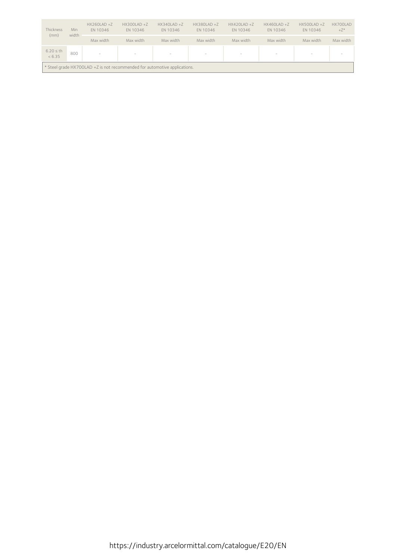| Thickness<br>(mm)          | Min<br>width | $HX260LAD + Z$<br>EN 10346 | $HX300LAD + Z$<br>EN 10346                                                | $HX340LAD + Z$<br>EN 10346 | $HX380LAD + Z$<br>EN 10346      | $HX420LAD + Z$<br>EN 10346 | $HX460LAD + Z$<br>EN 10346 | $HX500LAD + Z$<br>EN 10346 | HX700LAD<br>$+Z^*$ |
|----------------------------|--------------|----------------------------|---------------------------------------------------------------------------|----------------------------|---------------------------------|----------------------------|----------------------------|----------------------------|--------------------|
|                            |              | Max width                  | Max width                                                                 | Max width                  | Max width                       | Max width                  | Max width                  | Max width                  | Max width          |
| $6.20 \leq th$<br>$< 6.35$ | 800          | $\overline{\phantom{a}}$   | $\overline{\phantom{a}}$                                                  | $\overline{\phantom{a}}$   | $\hspace{0.1mm}-\hspace{0.1mm}$ | $\overline{\phantom{a}}$   | $\sim$                     | $\overline{\phantom{a}}$   | $\sim$             |
|                            |              |                            | * Steel grade HX700LAD +Z is not recommended for automotive applications. |                            |                                 |                            |                            |                            |                    |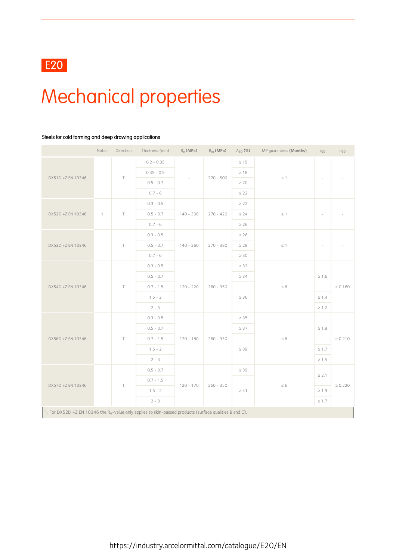# Mechanical properties

### Steels for cold forming and deep drawing applications

|                                                                                                                      | Notes        | Direction | Thickness (mm) | $R_e$ (MPa) | $R_m$ (MPa) | $A_{80}$ (%) | MP guarantees (Months) | $r_{90}$                 | $n_{90}$                 |  |
|----------------------------------------------------------------------------------------------------------------------|--------------|-----------|----------------|-------------|-------------|--------------|------------------------|--------------------------|--------------------------|--|
|                                                                                                                      |              |           | $0.2 - 0.35$   |             |             | $\geq 15$    |                        |                          |                          |  |
|                                                                                                                      |              |           | $0.35 - 0.5$   |             |             | $\geq 18$    |                        |                          |                          |  |
| DX51D +Z EN 10346                                                                                                    |              | $\top$    | $0.5 - 0.7$    | $\sim$      | $270 - 500$ | $\geq 20$    | $\leq$ 1               | $\sim$                   | $\overline{\phantom{a}}$ |  |
|                                                                                                                      |              |           | $0.7 - 6$      |             |             | $\geq$ 22    |                        |                          |                          |  |
|                                                                                                                      |              |           | $0.3 - 0.5$    |             |             | $\geq$ 22    |                        |                          |                          |  |
| DX52D +Z EN 10346                                                                                                    | $\mathbf{1}$ | $\top$    | $0.5 - 0.7$    | $140 - 300$ | $270 - 420$ | $\geq 24$    | $\leq$ 1               | $\overline{\phantom{a}}$ | $\overline{\phantom{a}}$ |  |
|                                                                                                                      |              |           | $0.7 - 6$      |             | $\geq 26$   |              |                        |                          |                          |  |
|                                                                                                                      |              |           | $0.3 - 0.5$    |             |             | $\geq 26$    |                        |                          |                          |  |
| DX53D +Z EN 10346                                                                                                    |              | $\top$    | $0.5 - 0.7$    | $140 - 260$ | $270 - 380$ | $\geq 28$    | $\leq$ 1               | ÷,                       | $\sim$                   |  |
|                                                                                                                      |              |           | $0.7 - 6$      |             |             | $\geq 30$    |                        |                          |                          |  |
|                                                                                                                      |              |           | $0.3 - 0.5$    |             |             | $\geq 32$    |                        |                          |                          |  |
|                                                                                                                      |              |           | $0.5 - 0.7$    |             |             | $\geq 34$    |                        | $\geq 1.6$               |                          |  |
| DX54D +Z EN 10346                                                                                                    |              | $\top$    | $0.7 - 1.5$    | $120 - 220$ | $260 - 350$ |              | $\leq 6$               |                          | $\geq 0.180$             |  |
|                                                                                                                      |              |           | $1.5 - 2$      |             |             | $\geq 36$    |                        | $\geq 1.4$               |                          |  |
|                                                                                                                      |              |           | $2 - 3$        |             |             |              |                        | $\geq 1.2$               |                          |  |
|                                                                                                                      |              |           | $0.3 - 0.5$    |             |             | $\geq 35$    |                        |                          |                          |  |
|                                                                                                                      |              |           | $0.5 - 0.7$    |             |             | $\geq 37$    |                        | $\geq 1.9$               |                          |  |
| DX56D +Z EN 10346                                                                                                    |              | $\top$    | $0.7 - 1.5$    | $120 - 180$ | $260 - 350$ |              | $\leq 6$               |                          | $\geq 0.210$             |  |
|                                                                                                                      |              |           | $1.5 - 2$      |             |             | $\geq 39$    |                        | $\geq 1.7$               |                          |  |
|                                                                                                                      |              |           | $2 - 3$        |             |             |              |                        | $\geq 1.5$               |                          |  |
|                                                                                                                      |              |           | $0.5 - 0.7$    |             |             | $\geq 39$    |                        | $\geq 2.1$               |                          |  |
| DX57D +Z EN 10346                                                                                                    |              |           | $0.7 - 1.5$    | $120 - 170$ | $260 - 350$ |              | $\leq 6$               |                          | $\geq 0.220$             |  |
|                                                                                                                      |              | $\top$    | $1.5 - 2$      |             |             | $\geq 41$    |                        | $\geq 1.9$               |                          |  |
|                                                                                                                      |              |           | $2 - 3$        |             |             |              |                        | $\geq 1.7$               |                          |  |
| 1. For DX52D +Z EN 10346 the R <sub>e</sub> -value only applies to skin-passed products (surface qualities B and C). |              |           |                |             |             |              |                        |                          |                          |  |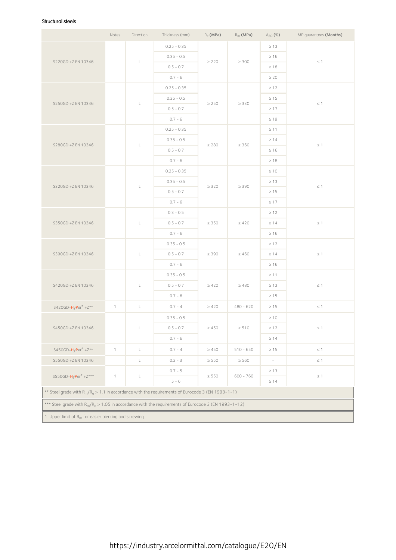### Structural steels

|                                                                                                                             | Notes        | Direction      | Thickness (mm) | $R_e$ (MPa) | $R_m$ (MPa) | $A_{80}$ (%) | MP guarantees (Months) |
|-----------------------------------------------------------------------------------------------------------------------------|--------------|----------------|----------------|-------------|-------------|--------------|------------------------|
|                                                                                                                             |              |                | $0.25 - 0.35$  |             |             | $\geq 13$    |                        |
|                                                                                                                             |              |                | $0.35 - 0.5$   |             |             | $\geq 16$    |                        |
| S220GD +Z EN 10346                                                                                                          |              | $\mathsf L$    | $0.5 - 0.7$    | $\geq$ 220  | $\geq 300$  | $\geq 18$    | $\leq$ 1               |
|                                                                                                                             |              |                | $0.7 - 6$      |             |             | $\geq 20$    |                        |
|                                                                                                                             |              |                | $0.25 - 0.35$  |             |             | $\geq 12$    |                        |
| S250GD +Z EN 10346                                                                                                          |              | L              | $0.35 - 0.5$   | $\geq 250$  | $\geq$ 330  | $\geq 15$    | $\leq$ 1               |
|                                                                                                                             |              |                | $0.5 - 0.7$    |             |             | $\geq 17$    |                        |
|                                                                                                                             |              |                | $0.7 - 6$      |             |             | $\geq 19$    |                        |
|                                                                                                                             |              |                | $0.25 - 0.35$  |             |             | $\geq 11$    |                        |
| S280GD +Z EN 10346                                                                                                          |              | L              | $0.35 - 0.5$   | $\geq$ 280  | $\geq 360$  | $\geq 14$    | $\leq 1$               |
|                                                                                                                             |              |                | $0.5 - 0.7$    |             |             | $\geq 16$    |                        |
|                                                                                                                             |              |                | $0.7 - 6$      |             |             | $\geq 18$    |                        |
|                                                                                                                             |              |                | $0.25 - 0.35$  |             |             | $\geq 10$    |                        |
| S320GD +Z EN 10346                                                                                                          |              | L              | $0.35 - 0.5$   | $\geq$ 320  | $\geq$ 390  | $\geq 13$    | $\leq$ 1               |
|                                                                                                                             |              |                | $0.5 - 0.7$    |             |             | $\geq 15$    |                        |
|                                                                                                                             |              |                | $0.7 - 6$      |             |             | $\geq 17$    |                        |
|                                                                                                                             |              |                | $0.3 - 0.5$    |             |             | $\geq 12$    |                        |
| S350GD +Z EN 10346                                                                                                          |              | $\mathsf L$    | $0.5 - 0.7$    | $\geq 350$  | $\geq 420$  | $\geq 14$    | $\leq$ 1               |
|                                                                                                                             |              |                | $0.7 - 6$      |             |             | $\geq 16$    |                        |
|                                                                                                                             |              |                | $0.35 - 0.5$   |             |             | $\geq 12$    |                        |
| S390GD +Z EN 10346                                                                                                          |              | L              | $0.5 - 0.7$    | $\geq$ 390  | $\geq 460$  | $\geq 14$    | $\leq$ 1               |
|                                                                                                                             |              |                | $0.7 - 6$      |             |             | $\geq 16$    |                        |
|                                                                                                                             |              |                | $0.35 - 0.5$   |             |             | $\geq$ 11    |                        |
| S420GD +Z EN 10346                                                                                                          |              | L              | $0.5 - 0.7$    | $\geq 420$  | $\geq 480$  | $\geq 13$    | $\leq$ 1               |
|                                                                                                                             |              |                | $0.7 - 6$      |             |             | $\geq 15$    |                        |
| S420GD-HyPer® +Z**                                                                                                          | $\mathbf{1}$ | $\mathsf L$    | $0.7 - 4$      | $\geq 420$  | $480 - 620$ | $\geq 15$    | $\leq$ 1               |
|                                                                                                                             |              |                | $0.35 - 0.5$   |             |             | $\geq 10$    |                        |
| S450GD +Z EN 10346                                                                                                          |              | $\Box$         | $0.5 - 0.7$    | $\geq 450$  | $\geq 510$  | $\geq 12$    | $\leq 1$               |
|                                                                                                                             |              |                | $0.7 - 6$      |             |             | $\geq 14$    |                        |
| $S450GD-HyPer^{\otimes} + Z^{**}$                                                                                           | $\mathbf{1}$ | $\mathsf{L}^-$ | $0.7 - 4$      | $\geq 450$  | $510 - 650$ | $\geq 15$    | $\leq$ 1               |
| S550GD +Z EN 10346                                                                                                          |              | L.             | $0.2 - 3$      | $\geq 550$  | $\geq 560$  | $\omega$     | $\leq$ 1               |
|                                                                                                                             |              |                | $0.7 - 5$      |             |             | $\geq 13$    |                        |
| S550GD-HyPer® +Z***                                                                                                         | $\mathbf{1}$ | L              | $5 - 6$        | $\geq$ 550  | $600 - 760$ | $\geq 14$    | $\leq$ 1               |
| ** Steel grade with R <sub>m</sub> /R <sub>e</sub> > 1.1 in accordance with the requirements of Eurocode 3 (EN 1993-1-1)    |              |                |                |             |             |              |                        |
| *** Steel grade with R <sub>m</sub> /R <sub>e</sub> > 1.05 in accordance with the requirements of Eurocode 3 (EN 1993-1-12) |              |                |                |             |             |              |                        |
| 1. Upper limit of R <sub>m</sub> for easier piercing and screwing.                                                          |              |                |                |             |             |              |                        |
|                                                                                                                             |              |                |                |             |             |              |                        |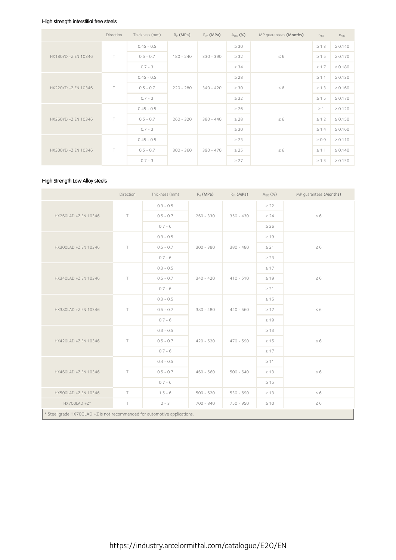### High strength interstitial free steels

|                     | Direction | Thickness (mm) | $R_{\rho}$ (MPa) | $R_m$ (MPa) | $A_{80}$ (%) | MP quarantees (Months) | $r_{90}$   | $n_{90}$     |
|---------------------|-----------|----------------|------------------|-------------|--------------|------------------------|------------|--------------|
|                     |           | $0.45 - 0.5$   |                  |             | $\geq 30$    |                        | $\geq 1.3$ | $\ge 0.140$  |
| HX180YD +Z EN 10346 | T.        | $0.5 - 0.7$    | $180 - 240$      | $330 - 390$ | $\geq$ 32    | $\leq 6$               | $\geq 1.5$ | $\geq 0.170$ |
|                     |           | $0.7 - 3$      |                  |             | $\geq 34$    |                        | $\geq 1.7$ | $\geq 0.180$ |
|                     |           | $0.45 - 0.5$   |                  |             | $\geq 28$    |                        | $\geq 1.1$ | $\geq 0.130$ |
| HX220YD +Z EN 10346 | $\top$    | $0.5 - 0.7$    | $220 - 280$      | $340 - 420$ | $\geq 30$    | $\leq 6$               | $\geq 1.3$ | $\geq 0.160$ |
|                     |           | $0.7 - 3$      |                  |             | $\geq$ 32    |                        | $\geq 1.5$ | $\geq 0.170$ |
|                     |           | $0.45 - 0.5$   |                  | $380 - 440$ | $\geq 26$    | $\leq 6$               | $\geq$ 1   | $\geq 0.120$ |
| HX260YD +Z EN 10346 | $\top$    | $0.5 - 0.7$    | $260 - 320$      |             | $\geq 28$    |                        | $\geq 1.2$ | $\geq 0.150$ |
|                     |           | $0.7 - 3$      |                  |             | $\geq 30$    |                        | $\geq 1.4$ | $\geq 0.160$ |
|                     |           | $0.45 - 0.5$   |                  |             | $\geq$ 23    |                        | $\geq 0.9$ | $\geq 0.110$ |
| HX300YD +Z EN 10346 | $\top$    | $0.5 - 0.7$    | $300 - 360$      | $390 - 470$ | $\geq 25$    | $\leq 6$               | $\geq 1.1$ | $\geq 0.140$ |
|                     |           | $0.7 - 3$      |                  |             | $\geq$ 27    |                        | $\geq 1.3$ | $\geq 0.150$ |

### High Strength Low Alloy steels

|                                                                           | Direction | Thickness (mm) | $R_e$ (MPa) | $R_m$ (MPa) | $A_{80}$ (%) | MP guarantees (Months) |
|---------------------------------------------------------------------------|-----------|----------------|-------------|-------------|--------------|------------------------|
|                                                                           |           | $0.3 - 0.5$    |             |             | $\geq 22$    |                        |
| HX260LAD +Z EN 10346                                                      | $\top$    | $0.5 - 0.7$    | $260 - 330$ | $350 - 430$ | $\geq 24$    | $\leq 6$               |
|                                                                           |           | $0.7 - 6$      |             |             | $\geq 26$    |                        |
|                                                                           |           | $0.3 - 0.5$    |             |             | $\geq 19$    |                        |
| HX300LAD +Z EN 10346                                                      | $\top$    | $0.5 - 0.7$    | $300 - 380$ | $380 - 480$ | $\geq$ 21    | $\leq 6$               |
|                                                                           |           | $0.7 - 6$      |             |             | $\geq$ 23    |                        |
|                                                                           |           | $0.3 - 0.5$    |             |             | $\geq 17$    |                        |
| HX340LAD +Z EN 10346                                                      | $\top$    | $0.5 - 0.7$    | $340 - 420$ | $410 - 510$ | $\geq 19$    | $\leq 6$               |
|                                                                           |           | $0.7 - 6$      |             |             | $\geq$ 21    |                        |
|                                                                           |           | $0.3 - 0.5$    |             |             | $\geq 15$    |                        |
| HX380LAD +Z EN 10346                                                      | $\top$    | $0.5 - 0.7$    | $380 - 480$ | $440 - 560$ | $\geq 17$    | $\leq 6$               |
|                                                                           |           | $0.7 - 6$      |             |             | $\geq 19$    |                        |
|                                                                           |           | $0.3 - 0.5$    |             |             | $\geq 13$    |                        |
| HX420LAD +Z EN 10346                                                      | $\top$    | $0.5 - 0.7$    | $420 - 520$ | $470 - 590$ | $\geq 15$    | $\leq 6$               |
|                                                                           |           | $0.7 - 6$      |             |             | $\geq 17$    |                        |
|                                                                           |           | $0.4 - 0.5$    |             |             | $\geq$ 11    |                        |
| HX460LAD +Z EN 10346                                                      | $\top$    | $0.5 - 0.7$    | $460 - 560$ | $500 - 640$ | $\geq 13$    | $\leq 6$               |
|                                                                           |           | $0.7 - 6$      |             |             | $\geq 15$    |                        |
| HX500LAD +Z EN 10346                                                      | $\top$    | $1.5 - 6$      | $500 - 620$ | $530 - 690$ | $\geq 13$    | $\leq 6$               |
| $HX700LAD + Z*$                                                           | $\top$    | $2 - 3$        | $700 - 840$ | 750 - 950   | $\geq 10$    | $\leq 6$               |
| * Steel grade HX700LAD +Z is not recommended for automotive applications. |           |                |             |             |              |                        |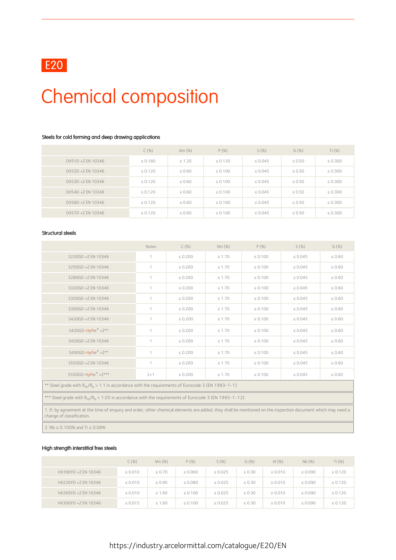

## Chemical composition

### Steels for cold forming and deep drawing applications

|                   | C(%)         | $Mn(\%)$    | $P(\%)$      | S(%)         | Si (%)      | Ti $(%)$     |
|-------------------|--------------|-------------|--------------|--------------|-------------|--------------|
| DX51D +Z EN 10346 | $\leq 0.180$ | $\leq 1.20$ | $\leq 0.120$ | $\leq 0.045$ | $\leq 0.50$ | $\leq 0.300$ |
| DX52D +Z EN 10346 | $\leq 0.120$ | $\leq 0.60$ | $\leq 0.100$ | $\leq 0.045$ | $\leq 0.50$ | $\leq 0.300$ |
| DX53D +Z EN 10346 | $\leq 0.120$ | $\leq 0.60$ | $\leq 0.100$ | $\leq 0.045$ | $\leq 0.50$ | $\leq 0.300$ |
| DX54D +7 FN 10346 | $\leq 0.120$ | $\leq 0.60$ | $\leq 0.100$ | $\leq 0.045$ | $\leq 0.50$ | $\leq 0.300$ |
| DX56D +Z EN 10346 | $\leq 0.120$ | $\leq 0.60$ | $\leq 0.100$ | $\leq 0.045$ | $\leq 0.50$ | $\leq 0.300$ |
| DX57D +Z EN 10346 | $\leq 0.120$ | $\leq 0.60$ | $\leq 0.100$ | $\leq 0.045$ | $\leq 0.50$ | $\leq 0.300$ |

#### Structural steels

|                                                                                                                                                                                           | Notes        | $C(\%)$      | Mn (%)      | $P(\%)$      | $S(\%)$      | Si(%)       |  |  |  |
|-------------------------------------------------------------------------------------------------------------------------------------------------------------------------------------------|--------------|--------------|-------------|--------------|--------------|-------------|--|--|--|
| S220GD +Z EN 10346                                                                                                                                                                        | 1            | $\leq 0.200$ | $\leq 1.70$ | $\leq 0.100$ | $\leq 0.045$ | $\leq 0.60$ |  |  |  |
| S250GD +Z EN 10346                                                                                                                                                                        | 1            | $\leq 0.200$ | $\leq 1.70$ | $\leq 0.100$ | $\leq 0.045$ | $\leq 0.60$ |  |  |  |
| S280GD +Z EN 10346                                                                                                                                                                        | $\mathbf{1}$ | $\leq 0.200$ | $\leq 1.70$ | $\leq 0.100$ | $\leq 0.045$ | $\leq 0.60$ |  |  |  |
| S320GD +Z EN 10346                                                                                                                                                                        | $\mathbf{1}$ | $\leq 0.200$ | $\leq 1.70$ | $\leq 0.100$ | $\leq 0.045$ | $\leq 0.60$ |  |  |  |
| S350GD +Z EN 10346                                                                                                                                                                        | 1            | $\leq 0.200$ | $\leq 1.70$ | $\leq 0.100$ | $\leq 0.045$ | $\leq 0.60$ |  |  |  |
| S390GD +Z EN 10346                                                                                                                                                                        | $\mathbf{1}$ | $\leq 0.200$ | $\leq 1.70$ | $\leq 0.100$ | $\leq 0.045$ | $\leq 0.60$ |  |  |  |
| S420GD +Z EN 10346                                                                                                                                                                        | 1            | $\leq 0.200$ | $\leq 1.70$ | $\leq 0.100$ | $\leq 0.045$ | $\leq 0.60$ |  |  |  |
| $S420GD-HvPer^* + Z^{**}$                                                                                                                                                                 | $\mathbf{1}$ | $\leq 0.200$ | $\leq 1.70$ | $\leq 0.100$ | $\leq 0.045$ | $\leq 0.60$ |  |  |  |
| S450GD +Z EN 10346                                                                                                                                                                        | 1            | $\leq 0.200$ | $\leq 1.70$ | $\leq 0.100$ | $\leq 0.045$ | $\leq 0.60$ |  |  |  |
| S450GD-HyPer® +Z**                                                                                                                                                                        | $\mathbf{1}$ | $\leq 0.200$ | $\leq 1.70$ | $\leq 0.100$ | $\leq 0.045$ | $\leq 0.60$ |  |  |  |
| S550GD +Z EN 10346                                                                                                                                                                        | $\mathbf{1}$ | $\leq 0.200$ | $\leq 1.70$ | $\leq 0.100$ | $\leq 0.045$ | $\leq 0.60$ |  |  |  |
| $S550GD-HyPer^* + Z***$                                                                                                                                                                   | $2 + 1$      | $\leq 0.200$ | $\leq 1.70$ | $\leq 0.100$ | $\leq 0.045$ | $\leq 0.60$ |  |  |  |
| ** Steel grade with $R_m/R_e > 1.1$ in accordance with the requirements of Eurocode 3 (EN 1993-1-1)                                                                                       |              |              |             |              |              |             |  |  |  |
| *** Steel grade with $R_m/R_e > 1.05$ in accordance with the requirements of Eurocode 3 (EN 1993-1-12)                                                                                    |              |              |             |              |              |             |  |  |  |
| 1. If, by agreement at the time of enguiry and order, other chemical elements are added, they shall be mentioned on the inspection document which may need a<br>change of classification. |              |              |             |              |              |             |  |  |  |

2. Nb ≤ 0.100% and Ti ≤ 0.08%

### High strength interstitial free steels

|                     | $C(\%)$      | Mn(%)       | $P(\%)$      | S(%)         | Si (%)      | Al $(\%)$    | Nb(%)        | Ti $(\%)$    |
|---------------------|--------------|-------------|--------------|--------------|-------------|--------------|--------------|--------------|
| HX180YD +Z EN 10346 | $\leq 0.010$ | $\leq 0.70$ | $\leq 0.060$ | $\leq 0.025$ | $\leq 0.30$ | $\geq 0.010$ | $\leq 0.090$ | $\leq 0.120$ |
| HX220YD +Z EN 10346 | $\leq 0.010$ | $\leq 0.90$ | $\leq 0.080$ | $\leq 0.025$ | $\leq 0.30$ | $\geq 0.010$ | $\leq 0.090$ | $\leq 0.120$ |
| HX260YD +Z EN 10346 | $\leq 0.010$ | $\leq 1.60$ | $\leq 0.100$ | $\leq 0.025$ | $\leq 0.30$ | $\geq 0.010$ | $\leq 0.090$ | $\leq 0.120$ |
| HX300YD +Z EN 10346 | $\leq 0.015$ | $\leq 1.60$ | $\leq 0.100$ | $\leq 0.025$ | $\leq 0.30$ | $\geq 0.010$ | $\leq 0.090$ | $\leq 0.120$ |